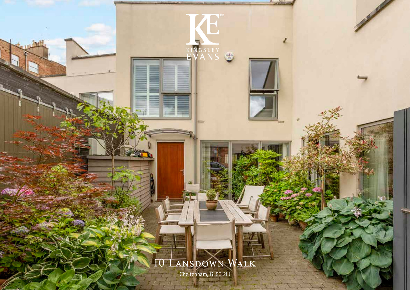# 10 LANSDOWN WALK

T

EVANS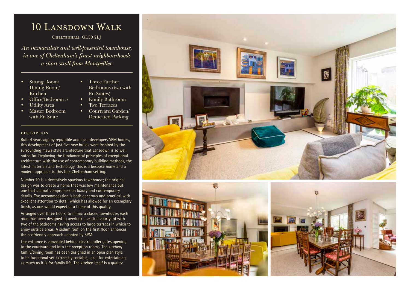# 10 Lansdown Walk

Cheltenham, GL50 2LJ

*An immaculate and well-presented townhouse, in one of Cheltenham's finest neighbourhoods a short stroll from Montpellier.* 

- Sitting Room/ Dining Room/ Kitchen
- Office/Bedroom 5
- Utility Area
- Master Bedroom with En Suite
- Three Further Bedrooms (two with En Suites)
- Family Bathroom
- Two Terraces
- Courtyard Garden/ Dedicated Parking

## description

Built 4 years ago by reputable and local developers SPM homes, this development of just five new builds were inspired by the surrounding mews style architecture that Lansdown is so well noted for. Deploying the fundamental principles of exceptional architecture with the use of contemporary building methods, the latest materials and technology, this is a bespoke home and a modern approach to this fine Cheltenham setting.

Number 10 is a deceptively spacious townhouse; the original design was to create a home that was low maintenance but one that did not compromise on luxury and contemporary details. The accommodation is both generous and practical with excellent attention to detail which has allowed for an exemplary finish, as one would expect of a home of this quality.

Arranged over three floors, to mimic a classic townhouse, each room has been designed to overlook a central courtyard with two of the bedrooms having access to large terraces in which to enjoy outside areas. A sedum roof, on the first floor, enhances the ecofriendly approach adopted by SPM.

The entrance is concealed behind electric roller gates opening to the courtyard and into the reception rooms. The kitchen/ family/dining room has been designed in an open plan style, to be functional yet extremely sociable, ideal for entertaining as much as it is for family life. The kitchen itself is a quality





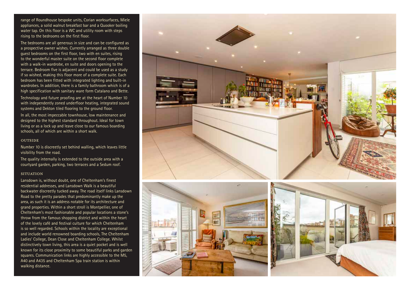range of Roundhouse bespoke units, Corian worksurfaces, Miele appliances, a solid walnut breakfast bar and a Quooker boiling water tap. On this floor is a WC and utility room with steps rising to the bedrooms on the first floor.

The bedrooms are all generous in size and can be configured as a prospective owner wishes. Currently arranged as three double guest bedrooms on the first floor, two with en suites, rising to the wonderful master suite on the second floor complete with a walk-in wardrobe, en suite and doors opening to the terrace. Bedroom five is adjacent and could be used as a study if so wished, making this floor more of a complete suite. Each bedroom has been fitted with integrated lighting and built-in wardrobes. In addition, there is a family bathroom which is of a high specification with sanitary ware form Catalano and Bette.

Technology and future proofing are at the heart of Number 10 with independently zoned underfloor heating, integrated sound systems and Dekton tiled flooring to the ground floor.

In all, the most impeccable townhouse, low maintenance and designed to the highest standard throughout. Ideal for town living or as a lock up and leave close to our famous boarding schools, all of which are within a short walk.

#### **OUTSIDE**

Number 10 is discreetly set behind walling, which leaves little visibility from the road.

The quality internally is extended to the outside area with a courtyard garden, parking, two terraces and a Sedum roof.

### **SITUATION**

Lansdown is, without doubt, one of Cheltenham's finest residential addresses, and Lansdown Walk is a beautiful backwater discreetly tucked away. The road itself links Lansdown Road to the pretty parades that predominantly make up the area, as such it is an address notable for its architecture and grand properties. Within a short stroll is Montpellier, one of Cheltenham's most fashionable and popular locations a stone's throw from the famous shopping district and within the heart of the lovely café and festival culture for which Cheltenham is so well regarded. Schools within the locality are exceptional and include world renowned boarding schools, The Cheltenham Ladies' College, Dean Close and Cheltenham College. Whilst distinctively town living, this area is a quiet pocket and is well known for its close proximity to some beautiful parks and garden squares. Communication links are highly accessible to the M5, A40 and A435 and Cheltenham Spa train station is within walking distance.